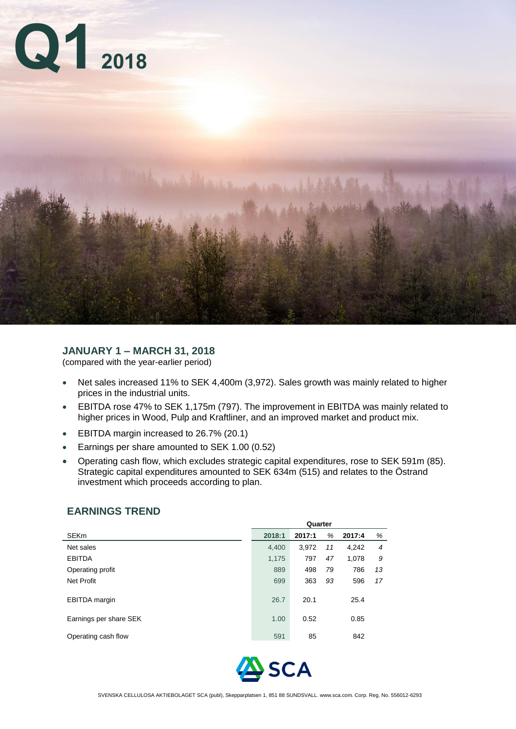

## **JANUARY 1 – MARCH 31, 2018**

(compared with the year-earlier period)

- Net sales increased 11% to SEK 4,400m (3,972). Sales growth was mainly related to higher prices in the industrial units.
- EBITDA rose 47% to SEK 1,175m (797). The improvement in EBITDA was mainly related to higher prices in Wood, Pulp and Kraftliner, and an improved market and product mix.
- **EBITDA margin increased to 26.7% (20.1)**
- **Earnings per share amounted to SEK 1.00 (0.52)**
- Operating cash flow, which excludes strategic capital expenditures, rose to SEK 591m (85). Strategic capital expenditures amounted to SEK 634m (515) and relates to the Östrand investment which proceeds according to plan.

|                        | Quarter |        |    |        |    |  |  |  |
|------------------------|---------|--------|----|--------|----|--|--|--|
| SEKm                   | 2018:1  | 2017:1 | %  | 2017:4 | %  |  |  |  |
| Net sales              | 4,400   | 3,972  | 11 | 4,242  | 4  |  |  |  |
| <b>EBITDA</b>          | 1,175   | 797    | 47 | 1,078  | S  |  |  |  |
| Operating profit       | 889     | 498    | 79 | 786    | 13 |  |  |  |
| Net Profit             | 699     | 363    | 93 | 596    | 17 |  |  |  |
| <b>EBITDA</b> margin   | 26.7    | 20.1   |    | 25.4   |    |  |  |  |
| Earnings per share SEK | 1.00    | 0.52   |    | 0.85   |    |  |  |  |
| Operating cash flow    | 591     | 85     |    | 842    |    |  |  |  |
|                        |         |        |    |        |    |  |  |  |

## **EARNINGS TREND**

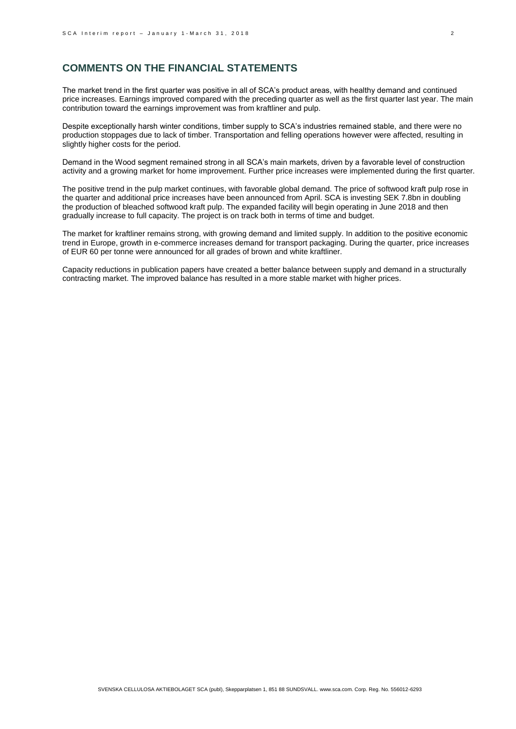## **COMMENTS ON THE FINANCIAL STATEMENTS**

The market trend in the first quarter was positive in all of SCA's product areas, with healthy demand and continued price increases. Earnings improved compared with the preceding quarter as well as the first quarter last year. The main contribution toward the earnings improvement was from kraftliner and pulp.

Despite exceptionally harsh winter conditions, timber supply to SCA's industries remained stable, and there were no production stoppages due to lack of timber. Transportation and felling operations however were affected, resulting in slightly higher costs for the period.

Demand in the Wood segment remained strong in all SCA's main markets, driven by a favorable level of construction activity and a growing market for home improvement. Further price increases were implemented during the first quarter.

The positive trend in the pulp market continues, with favorable global demand. The price of softwood kraft pulp rose in the quarter and additional price increases have been announced from April. SCA is investing SEK 7.8bn in doubling the production of bleached softwood kraft pulp. The expanded facility will begin operating in June 2018 and then gradually increase to full capacity. The project is on track both in terms of time and budget.

The market for kraftliner remains strong, with growing demand and limited supply. In addition to the positive economic trend in Europe, growth in e-commerce increases demand for transport packaging. During the quarter, price increases of EUR 60 per tonne were announced for all grades of brown and white kraftliner.

Capacity reductions in publication papers have created a better balance between supply and demand in a structurally contracting market. The improved balance has resulted in a more stable market with higher prices.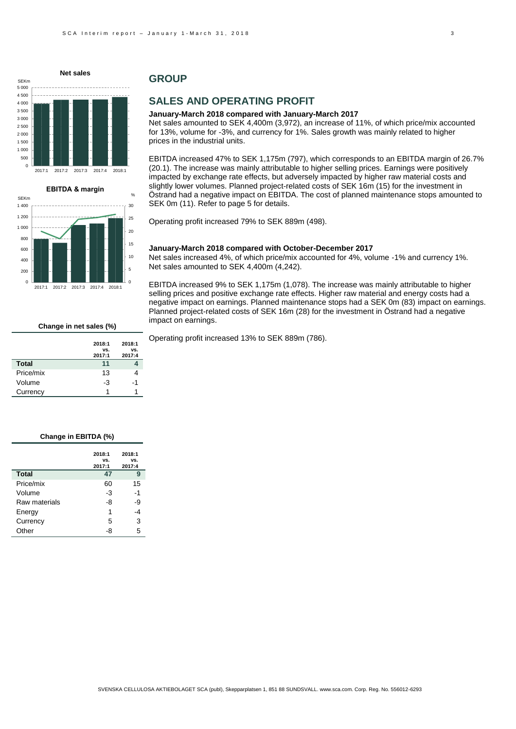



## **GROUP**

## **SALES AND OPERATING PROFIT**

#### **January-March 2018 compared with January-March 2017**

Net sales amounted to SEK 4,400m (3,972), an increase of 11%, of which price/mix accounted for 13%, volume for -3%, and currency for 1%. Sales growth was mainly related to higher prices in the industrial units.

EBITDA increased 47% to SEK 1,175m (797), which corresponds to an EBITDA margin of 26.7% (20.1). The increase was mainly attributable to higher selling prices. Earnings were positively impacted by exchange rate effects, but adversely impacted by higher raw material costs and slightly lower volumes. Planned project-related costs of SEK 16m (15) for the investment in Östrand had a negative impact on EBITDA. The cost of planned maintenance stops amounted to SEK 0m (11). Refer to page 5 for details.

Operating profit increased 79% to SEK 889m (498).

#### **January-March 2018 compared with October-December 2017**

Net sales increased 4%, of which price/mix accounted for 4%, volume -1% and currency 1%. Net sales amounted to SEK 4,400m (4,242).

EBITDA increased 9% to SEK 1,175m (1,078). The increase was mainly attributable to higher selling prices and positive exchange rate effects. Higher raw material and energy costs had a negative impact on earnings. Planned maintenance stops had a SEK 0m (83) impact on earnings. Planned project-related costs of SEK 16m (28) for the investment in Östrand had a negative impact on earnings.

Operating profit increased 13% to SEK 889m (786).

#### **vs. 2017:1**

**Change in net sales (%)**

**2018:1** 

**2018:1 vs.** 

|              | 2017:1 | 2017:4 |
|--------------|--------|--------|
| <b>Total</b> | 11     |        |
| Price/mix    | 13     |        |
| Volume       | -3     | -1     |
| Currency     |        |        |

#### **Change in EBITDA (%)**

|               | 2018:1<br>VS.<br>2017:1 | 2018:1<br>VS.<br>2017:4 |
|---------------|-------------------------|-------------------------|
| <b>Total</b>  | 47                      | 9                       |
| Price/mix     | 60                      | 15                      |
| Volume        | -3                      | $-1$                    |
| Raw materials | -8                      | -9                      |
| Energy        | 1                       | -4                      |
| Currency      | 5                       | 3                       |
| Other         | -8                      | 5                       |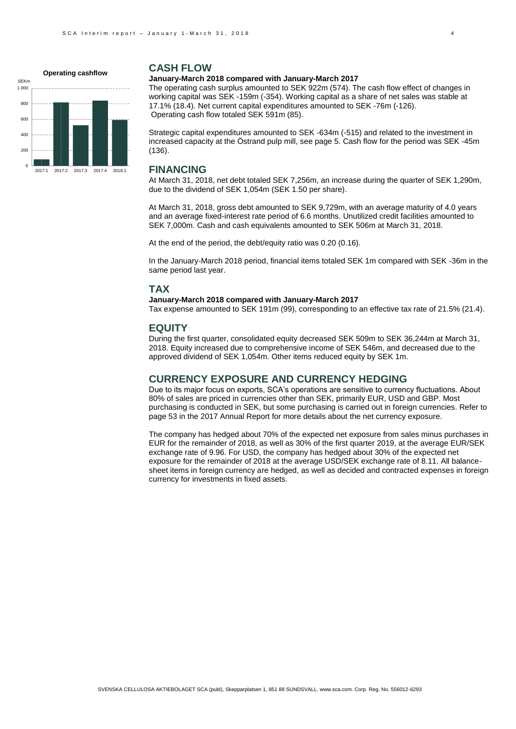#### **Operating cashflow**



### **CASH FLOW**

#### **January-March 2018 compared with January-March 2017**

The operating cash surplus amounted to SEK 922m (574). The cash flow effect of changes in working capital was SEK -159m (-354). Working capital as a share of net sales was stable at 17.1% (18.4). Net current capital expenditures amounted to SEK -76m (-126). Operating cash flow totaled SEK 591m (85).

Strategic capital expenditures amounted to SEK -634m (-515) and related to the investment in increased capacity at the Östrand pulp mill, see page 5. Cash flow for the period was SEK -45m (136).

### **FINANCING**

At March 31, 2018, net debt totaled SEK 7,256m, an increase during the quarter of SEK 1,290m, due to the dividend of SEK 1,054m (SEK 1.50 per share).

At March 31, 2018, gross debt amounted to SEK 9,729m, with an average maturity of 4.0 years and an average fixed-interest rate period of 6.6 months. Unutilized credit facilities amounted to SEK 7,000m. Cash and cash equivalents amounted to SEK 506m at March 31, 2018.

At the end of the period, the debt/equity ratio was 0.20 (0.16).

In the January-March 2018 period, financial items totaled SEK 1m compared with SEK -36m in the same period last year.

#### **TAX**

#### **January-March 2018 compared with January-March 2017**

Tax expense amounted to SEK 191m (99), corresponding to an effective tax rate of 21.5% (21.4).

#### **EQUITY**

During the first quarter, consolidated equity decreased SEK 509m to SEK 36,244m at March 31, 2018. Equity increased due to comprehensive income of SEK 546m, and decreased due to the approved dividend of SEK 1,054m. Other items reduced equity by SEK 1m.

### **CURRENCY EXPOSURE AND CURRENCY HEDGING**

Due to its major focus on exports, SCA's operations are sensitive to currency fluctuations. About 80% of sales are priced in currencies other than SEK, primarily EUR, USD and GBP. Most purchasing is conducted in SEK, but some purchasing is carried out in foreign currencies. Refer to page 53 in the 2017 Annual Report for more details about the net currency exposure.

The company has hedged about 70% of the expected net exposure from sales minus purchases in EUR for the remainder of 2018, as well as 30% of the first quarter 2019, at the average EUR/SEK exchange rate of 9.96. For USD, the company has hedged about 30% of the expected net exposure for the remainder of 2018 at the average USD/SEK exchange rate of 8.11. All balancesheet items in foreign currency are hedged, as well as decided and contracted expenses in foreign currency for investments in fixed assets.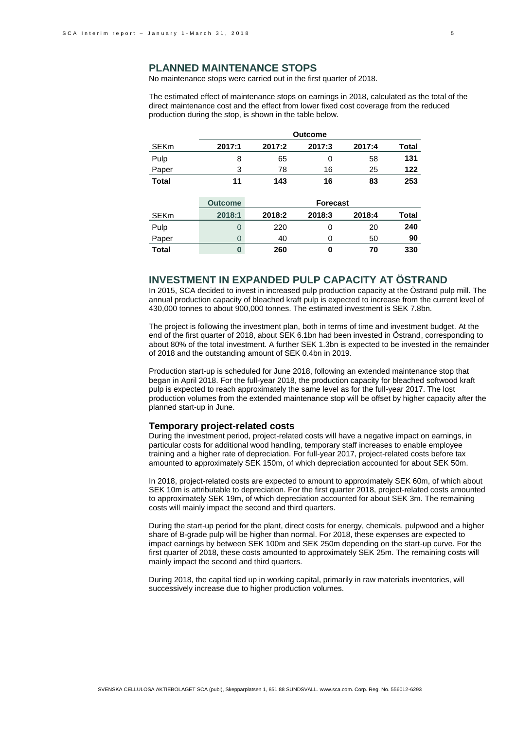### **PLANNED MAINTENANCE STOPS**

No maintenance stops were carried out in the first quarter of 2018.

The estimated effect of maintenance stops on earnings in 2018, calculated as the total of the direct maintenance cost and the effect from lower fixed cost coverage from the reduced production during the stop, is shown in the table below.

|              | <b>Outcome</b> |        |                 |        |              |
|--------------|----------------|--------|-----------------|--------|--------------|
| <b>SEKm</b>  | 2017:1         | 2017:2 | 2017:3          | 2017:4 | <b>Total</b> |
| Pulp         | 8              | 65     | 0               | 58     | 131          |
| Paper        | 3              | 78     | 16              | 25     | 122          |
| <b>Total</b> | 11             | 143    | 16              | 83     | 253          |
|              |                |        |                 |        |              |
|              | <b>Outcome</b> |        | <b>Forecast</b> |        |              |
| <b>SEKm</b>  | 2018:1         | 2018:2 | 2018:3          | 2018:4 | <b>Total</b> |
| Pulp         | 0              | 220    | 0               | 20     | 240          |
| Paper        | $\Omega$       | 40     | 0               | 50     | 90           |
| <b>Total</b> | $\bf{0}$       | 260    | 0               | 70     | 330          |

## **INVESTMENT IN EXPANDED PULP CAPACITY AT ÖSTRAND**

In 2015, SCA decided to invest in increased pulp production capacity at the Östrand pulp mill. The annual production capacity of bleached kraft pulp is expected to increase from the current level of 430,000 tonnes to about 900,000 tonnes. The estimated investment is SEK 7.8bn.

The project is following the investment plan, both in terms of time and investment budget. At the end of the first quarter of 2018, about SEK 6.1bn had been invested in Östrand, corresponding to about 80% of the total investment. A further SEK 1.3bn is expected to be invested in the remainder of 2018 and the outstanding amount of SEK 0.4bn in 2019.

Production start-up is scheduled for June 2018, following an extended maintenance stop that began in April 2018. For the full-year 2018, the production capacity for bleached softwood kraft pulp is expected to reach approximately the same level as for the full-year 2017. The lost production volumes from the extended maintenance stop will be offset by higher capacity after the planned start-up in June.

#### **Temporary project-related costs**

During the investment period, project-related costs will have a negative impact on earnings, in particular costs for additional wood handling, temporary staff increases to enable employee training and a higher rate of depreciation. For full-year 2017, project-related costs before tax amounted to approximately SEK 150m, of which depreciation accounted for about SEK 50m.

In 2018, project-related costs are expected to amount to approximately SEK 60m, of which about SEK 10m is attributable to depreciation. For the first quarter 2018, project-related costs amounted to approximately SEK 19m, of which depreciation accounted for about SEK 3m. The remaining costs will mainly impact the second and third quarters.

During the start-up period for the plant, direct costs for energy, chemicals, pulpwood and a higher share of B-grade pulp will be higher than normal. For 2018, these expenses are expected to impact earnings by between SEK 100m and SEK 250m depending on the start-up curve. For the first quarter of 2018, these costs amounted to approximately SEK 25m. The remaining costs will mainly impact the second and third quarters.

During 2018, the capital tied up in working capital, primarily in raw materials inventories, will successively increase due to higher production volumes.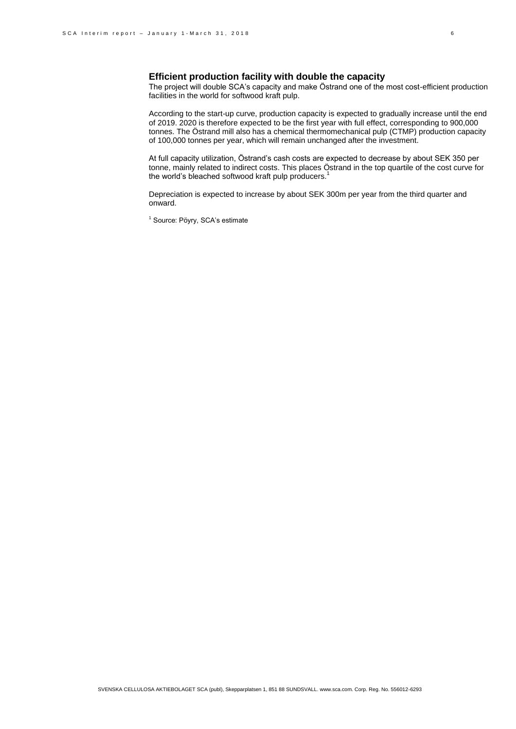### **Efficient production facility with double the capacity**

The project will double SCA's capacity and make Östrand one of the most cost-efficient production facilities in the world for softwood kraft pulp.

According to the start-up curve, production capacity is expected to gradually increase until the end of 2019. 2020 is therefore expected to be the first year with full effect, corresponding to 900,000 tonnes. The Östrand mill also has a chemical thermomechanical pulp (CTMP) production capacity of 100,000 tonnes per year, which will remain unchanged after the investment.

At full capacity utilization, Östrand's cash costs are expected to decrease by about SEK 350 per tonne, mainly related to indirect costs. This places Östrand in the top quartile of the cost curve for the world's bleached softwood kraft pulp producers.<sup>1</sup>

Depreciation is expected to increase by about SEK 300m per year from the third quarter and onward.

<sup>1</sup> Source: Pöyry, SCA's estimate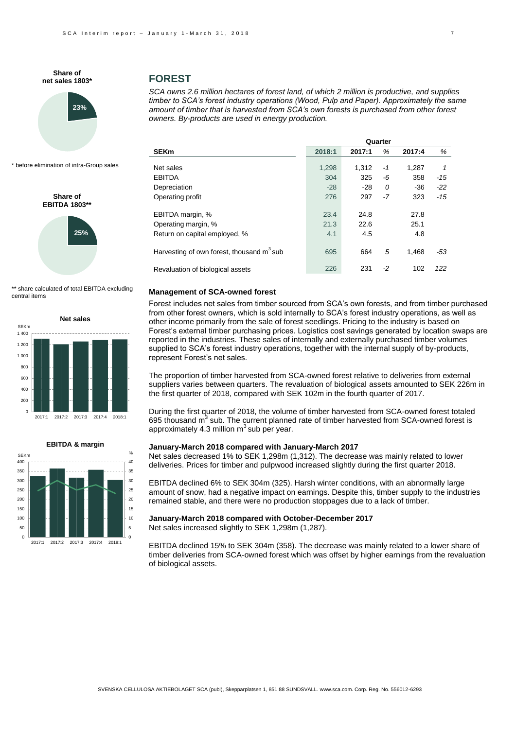

\* before elimination of intra-Group sales

**25% Share of EBITDA 1803\*\***

\*\* share calculated of total EBITDA excluding central items





#### **FOREST**

*SCA owns 2.6 million hectares of forest land, of which 2 million is productive, and supplies timber to SCA's forest industry operations (Wood, Pulp and Paper). Approximately the same amount of timber that is harvested from SCA's own forests is purchased from other forest owners. By-products are used in energy production.* 

|                                                       |        |        | Quarter |        |       |
|-------------------------------------------------------|--------|--------|---------|--------|-------|
| <b>SEKm</b>                                           | 2018:1 | 2017:1 | %       | 2017:4 | %     |
| Net sales                                             | 1,298  | 1.312  | -1      | 1.287  | 1     |
| <b>EBITDA</b>                                         | 304    | 325    | -6      | 358    | $-15$ |
| Depreciation                                          | $-28$  | $-28$  | 0       | $-36$  | $-22$ |
| Operating profit                                      | 276    | 297    | -7      | 323    | $-15$ |
| EBITDA margin, %                                      | 23.4   | 24.8   |         | 27.8   |       |
| Operating margin, %                                   | 21.3   | 22.6   |         | 25.1   |       |
| Return on capital employed, %                         | 4.1    | 4.5    |         | 4.8    |       |
| Harvesting of own forest, thousand m <sup>3</sup> sub | 695    | 664    | 5       | 1.468  | -53   |
| Revaluation of biological assets                      | 226    | 231    | -2      | 102    | 122   |

#### **Management of SCA-owned forest**

Forest includes net sales from timber sourced from SCA's own forests, and from timber purchased from other forest owners, which is sold internally to SCA's forest industry operations, as well as other income primarily from the sale of forest seedlings. Pricing to the industry is based on Forest's external timber purchasing prices. Logistics cost savings generated by location swaps are reported in the industries. These sales of internally and externally purchased timber volumes supplied to SCA's forest industry operations, together with the internal supply of by-products, represent Forest's net sales.

The proportion of timber harvested from SCA-owned forest relative to deliveries from external suppliers varies between quarters. The revaluation of biological assets amounted to SEK 226m in the first quarter of 2018, compared with SEK 102m in the fourth quarter of 2017.

During the first quarter of 2018, the volume of timber harvested from SCA-owned forest totaled 695 thousand m<sup>3</sup> sub. The current planned rate of timber harvested from SCA-owned forest is approximately 4.3 million  $m<sup>3</sup>$  sub per year.

#### **January-March 2018 compared with January-March 2017**

Net sales decreased 1% to SEK 1,298m (1,312). The decrease was mainly related to lower deliveries. Prices for timber and pulpwood increased slightly during the first quarter 2018.

EBITDA declined 6% to SEK 304m (325). Harsh winter conditions, with an abnormally large amount of snow, had a negative impact on earnings. Despite this, timber supply to the industries remained stable, and there were no production stoppages due to a lack of timber.

#### **January-March 2018 compared with October-December 2017**

Net sales increased slightly to SEK 1,298m (1,287).

EBITDA declined 15% to SEK 304m (358). The decrease was mainly related to a lower share of timber deliveries from SCA-owned forest which was offset by higher earnings from the revaluation of biological assets.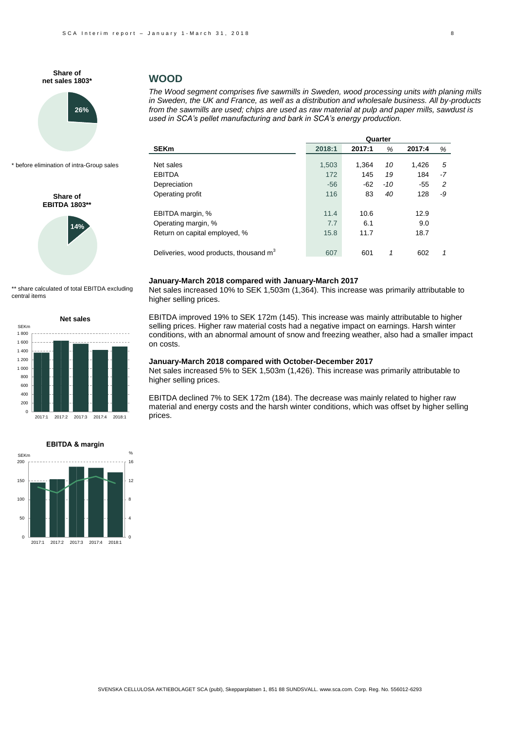

\* before elimination of intra-Group sales

**Share of EBITDA 1803\*\***



\*\* share calculated of total EBITDA excluding central items





### **WOOD**

*The Wood segment comprises five sawmills in Sweden, wood processing units with planing mills in Sweden, the UK and France, as well as a distribution and wholesale business. All by-products from the sawmills are used; chips are used as raw material at pulp and paper mills, sawdust is used in SCA's pellet manufacturing and bark in SCA's energy production.* 

| Quarter                                            |        |        |       |        |    |
|----------------------------------------------------|--------|--------|-------|--------|----|
| SEKm                                               | 2018:1 | 2017:1 | %     | 2017:4 | %  |
|                                                    |        |        |       |        |    |
| Net sales                                          | 1,503  | 1.364  | 10    | 1,426  | 5  |
| <b>EBITDA</b>                                      | 172    | 145    | 19    | 184    | -7 |
| Depreciation                                       | $-56$  | $-62$  | $-10$ | $-55$  | 2  |
| Operating profit                                   | 116    | 83     | 40    | 128    | -9 |
| EBITDA margin, %                                   | 11.4   | 10.6   |       | 12.9   |    |
| Operating margin, %                                | 7.7    | 6.1    |       | 9.0    |    |
| Return on capital employed, %                      | 15.8   | 11.7   |       | 18.7   |    |
| Deliveries, wood products, thousand m <sup>3</sup> | 607    | 601    | 1     | 602    | 1  |
|                                                    |        |        |       |        |    |

#### **January-March 2018 compared with January-March 2017**

Net sales increased 10% to SEK 1,503m (1,364). This increase was primarily attributable to higher selling prices.

EBITDA improved 19% to SEK 172m (145). This increase was mainly attributable to higher selling prices. Higher raw material costs had a negative impact on earnings. Harsh winter conditions, with an abnormal amount of snow and freezing weather, also had a smaller impact on costs.

#### **January-March 2018 compared with October-December 2017**

Net sales increased 5% to SEK 1,503m (1,426). This increase was primarily attributable to higher selling prices.

EBITDA declined 7% to SEK 172m (184). The decrease was mainly related to higher raw material and energy costs and the harsh winter conditions, which was offset by higher selling prices.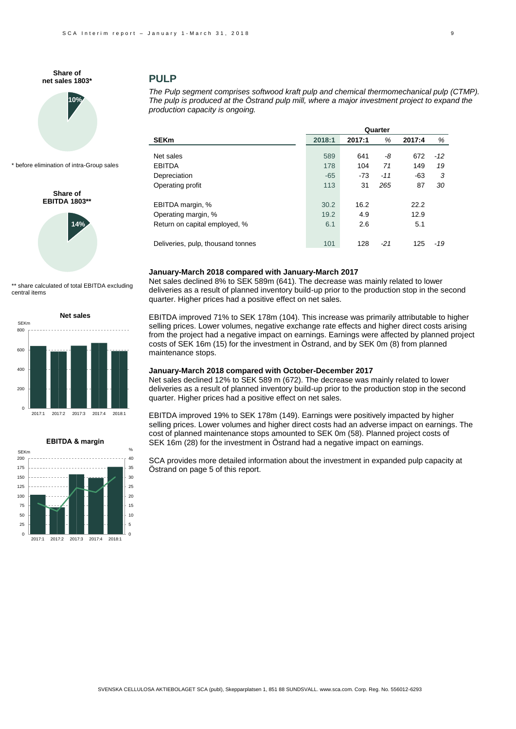

\* before elimination of intra-Group sales

## **Share of EBITDA 1803\*\***



\*\* share calculated of total EBITDA excluding central items





## **PULP**

*The Pulp segment comprises softwood kraft pulp and chemical thermomechanical pulp (CTMP). The pulp is produced at the Östrand pulp mill, where a major investment project to expand the production capacity is ongoing.*

|                                   |        |        | Quarter |        |       |
|-----------------------------------|--------|--------|---------|--------|-------|
| SEKm                              | 2018:1 | 2017:1 | %       | 2017:4 | %     |
|                                   |        |        |         |        |       |
| Net sales                         | 589    | 641    | -8      | 672    | $-12$ |
| <b>EBITDA</b>                     | 178    | 104    | 71      | 149    | 19    |
| Depreciation                      | $-65$  | $-73$  | $-11$   | $-63$  | 3     |
| Operating profit                  | 113    | 31     | 265     | 87     | 30    |
| EBITDA margin, %                  | 30.2   | 16.2   |         | 22.2   |       |
| Operating margin, %               | 19.2   | 4.9    |         | 12.9   |       |
| Return on capital employed, %     | 6.1    | 2.6    |         | 5.1    |       |
| Deliveries, pulp, thousand tonnes | 101    | 128    | $-21$   | 125    | $-19$ |

#### **January-March 2018 compared with January-March 2017**

Net sales declined 8% to SEK 589m (641). The decrease was mainly related to lower deliveries as a result of planned inventory build-up prior to the production stop in the second quarter. Higher prices had a positive effect on net sales.

EBITDA improved 71% to SEK 178m (104). This increase was primarily attributable to higher selling prices. Lower volumes, negative exchange rate effects and higher direct costs arising from the project had a negative impact on earnings. Earnings were affected by planned project costs of SEK 16m (15) for the investment in Östrand, and by SEK 0m (8) from planned maintenance stops.

#### **January-March 2018 compared with October-December 2017**

Net sales declined 12% to SEK 589 m (672). The decrease was mainly related to lower deliveries as a result of planned inventory build-up prior to the production stop in the second quarter. Higher prices had a positive effect on net sales.

EBITDA improved 19% to SEK 178m (149). Earnings were positively impacted by higher selling prices. Lower volumes and higher direct costs had an adverse impact on earnings. The cost of planned maintenance stops amounted to SEK 0m (58). Planned project costs of SEK 16m (28) for the investment in Östrand had a negative impact on earnings.

SCA provides more detailed information about the investment in expanded pulp capacity at Östrand on page 5 of this report.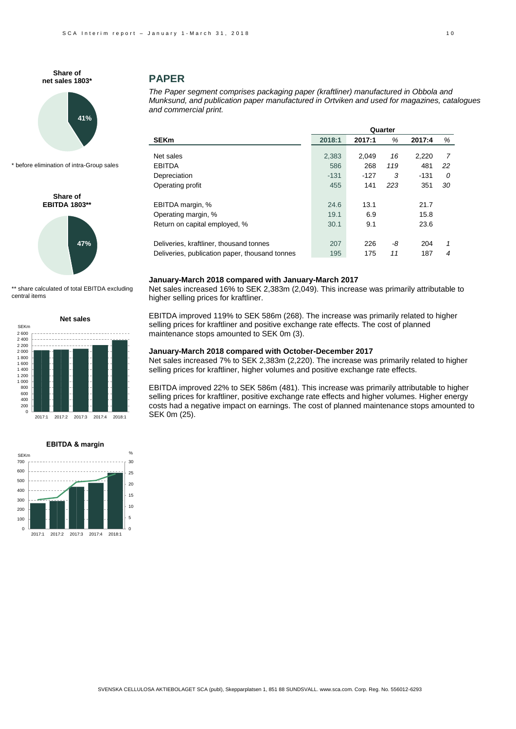

\* before elimination of intra-Group sales

**Share of EBITDA 1803\*\***



\*\* share calculated of total EBITDA excluding central items





### **PAPER**

*The Paper segment comprises packaging paper (kraftliner) manufactured in Obbola and Munksund, and publication paper manufactured in Ortviken and used for magazines, catalogues and commercial print.*

|                                                | Quarter |        |     |        |    |
|------------------------------------------------|---------|--------|-----|--------|----|
| <b>SEKm</b>                                    | 2018:1  | 2017:1 | %   | 2017:4 | %  |
| Net sales                                      | 2,383   | 2,049  | 16  | 2,220  | 7  |
| EBITDA                                         | 586     | 268    | 119 | 481    |    |
|                                                |         |        |     |        | 22 |
| Depreciation                                   | $-131$  | -127   | 3   | $-131$ | 0  |
| Operating profit                               | 455     | 141    | 223 | 351    | 30 |
| EBITDA margin, %                               | 24.6    | 13.1   |     | 21.7   |    |
| Operating margin, %                            | 19.1    | 6.9    |     | 15.8   |    |
| Return on capital employed, %                  | 30.1    | 9.1    |     | 23.6   |    |
| Deliveries, kraftliner, thousand tonnes        | 207     | 226    | -8  | 204    | 1  |
| Deliveries, publication paper, thousand tonnes | 195     | 175    | 11  | 187    | 4  |

#### **January-March 2018 compared with January-March 2017**

Net sales increased 16% to SEK 2,383m (2,049). This increase was primarily attributable to higher selling prices for kraftliner.

EBITDA improved 119% to SEK 586m (268). The increase was primarily related to higher selling prices for kraftliner and positive exchange rate effects. The cost of planned maintenance stops amounted to SEK 0m (3).

#### **January-March 2018 compared with October-December 2017**

Net sales increased 7% to SEK 2,383m (2,220). The increase was primarily related to higher selling prices for kraftliner, higher volumes and positive exchange rate effects.

EBITDA improved 22% to SEK 586m (481). This increase was primarily attributable to higher selling prices for kraftliner, positive exchange rate effects and higher volumes. Higher energy costs had a negative impact on earnings. The cost of planned maintenance stops amounted to SEK 0m (25).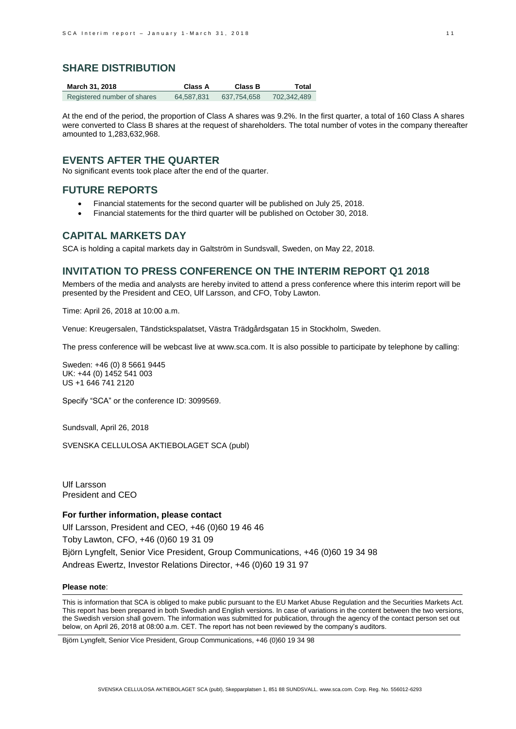### **SHARE DISTRIBUTION**

| March 31, 2018              | Class A    | Class B     | Total       |
|-----------------------------|------------|-------------|-------------|
| Registered number of shares | 64,587,831 | 637.754.658 | 702.342.489 |

At the end of the period, the proportion of Class A shares was 9.2%. In the first quarter, a total of 160 Class A shares were converted to Class B shares at the request of shareholders. The total number of votes in the company thereafter amounted to 1,283,632,968.

### **EVENTS AFTER THE QUARTER**

No significant events took place after the end of the quarter.

### **FUTURE REPORTS**

- Financial statements for the second quarter will be published on July 25, 2018.
- Financial statements for the third quarter will be published on October 30, 2018.

### **CAPITAL MARKETS DAY**

SCA is holding a capital markets day in Galtström in Sundsvall, Sweden, on May 22, 2018.

### **INVITATION TO PRESS CONFERENCE ON THE INTERIM REPORT Q1 2018**

Members of the media and analysts are hereby invited to attend a press conference where this interim report will be presented by the President and CEO, Ulf Larsson, and CFO, Toby Lawton.

Time: April 26, 2018 at 10:00 a.m.

Venue: Kreugersalen, Tändstickspalatset, Västra Trädgårdsgatan 15 in Stockholm, Sweden.

The press conference will be webcast live a[t www.sca.com.](http://www.sca.com/) It is also possible to participate by telephone by calling:

Sweden: +46 (0) 8 5661 9445 UK: +44 (0) 1452 541 003 US +1 646 741 2120

Specify "SCA" or the conference ID: 3099569.

Sundsvall, April 26, 2018

SVENSKA CELLULOSA AKTIEBOLAGET SCA (publ)

Ulf Larsson President and CEO

**For further information, please contact** Ulf Larsson, President and CEO, +46 (0)60 19 46 46 Toby Lawton, CFO, +46 (0)60 19 31 09 Björn Lyngfelt, Senior Vice President, Group Communications, +46 (0)60 19 34 98 Andreas Ewertz, Investor Relations Director, +46 (0)60 19 31 97

#### **Please note**:

This is information that SCA is obliged to make public pursuant to the EU Market Abuse Regulation and the Securities Markets Act. This report has been prepared in both Swedish and English versions. In case of variations in the content between the two versions, the Swedish version shall govern. The information was submitted for publication, through the agency of the contact person set out below, on April 26, 2018 at 08:00 a.m. CET. The report has not been reviewed by the company's auditors.

Björn Lyngfelt, Senior Vice President, Group Communications, +46 (0)60 19 34 98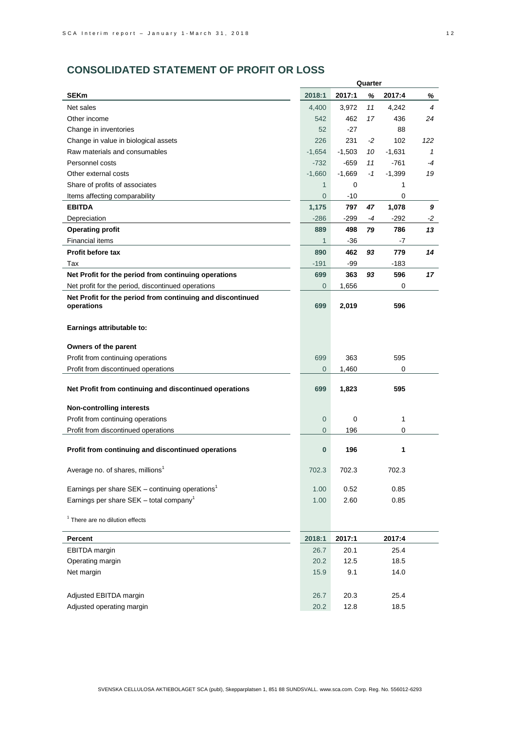# **CONSOLIDATED STATEMENT OF PROFIT OR LOSS**

|                                                             |                |          | Quarter |          |                |
|-------------------------------------------------------------|----------------|----------|---------|----------|----------------|
| <b>SEKm</b>                                                 | 2018:1         | 2017:1   | %       | 2017:4   | %              |
| Net sales                                                   | 4,400          | 3,972    | 11      | 4,242    | $\overline{4}$ |
| Other income                                                | 542            | 462      | 17      | 436      | 24             |
| Change in inventories                                       | 52             | $-27$    |         | 88       |                |
| Change in value in biological assets                        | 226            | 231      | -2      | 102      | 122            |
| Raw materials and consumables                               | $-1,654$       | $-1,503$ | 10      | $-1,631$ | $\mathbf{1}$   |
| Personnel costs                                             | $-732$         | -659     | 11      | -761     | -4             |
| Other external costs                                        | $-1,660$       | $-1,669$ | $-1$    | $-1,399$ | 19             |
| Share of profits of associates                              | 1              | 0        |         | 1        |                |
| Items affecting comparability                               | $\overline{0}$ | $-10$    |         | 0        |                |
| <b>EBITDA</b>                                               | 1,175          | 797      | 47      | 1,078    | 9              |
| Depreciation                                                | $-286$         | -299     | -4      | -292     | -2             |
| <b>Operating profit</b>                                     | 889            | 498      | 79      | 786      | 13             |
| <b>Financial items</b>                                      | $\mathbf{1}$   | $-36$    |         | $-7$     |                |
| Profit before tax                                           | 890            | 462      | 93      | 779      | 14             |
| Tax                                                         | $-191$         | -99      |         | -183     |                |
| Net Profit for the period from continuing operations        | 699            | 363      | 93      | 596      | 17             |
| Net profit for the period, discontinued operations          | $\overline{0}$ | 1,656    |         | 0        |                |
| Net Profit for the period from continuing and discontinued  |                |          |         |          |                |
| operations                                                  | 699            | 2,019    |         | 596      |                |
|                                                             |                |          |         |          |                |
| Earnings attributable to:                                   |                |          |         |          |                |
| Owners of the parent                                        |                |          |         |          |                |
| Profit from continuing operations                           | 699            | 363      |         | 595      |                |
| Profit from discontinued operations                         | $\overline{0}$ | 1,460    |         | 0        |                |
|                                                             |                |          |         |          |                |
| Net Profit from continuing and discontinued operations      | 699            | 1,823    |         | 595      |                |
|                                                             |                |          |         |          |                |
| <b>Non-controlling interests</b>                            |                |          |         | 1        |                |
| Profit from continuing operations                           | $\mathbf 0$    | 0        |         | 0        |                |
| Profit from discontinued operations                         | 0              | 196      |         |          |                |
| Profit from continuing and discontinued operations          | 0              | 196      |         | 1        |                |
|                                                             |                |          |         |          |                |
| Average no. of shares, millions <sup>1</sup>                | 702.3          | 702.3    |         | 702.3    |                |
|                                                             |                |          |         |          |                |
| Earnings per share SEK - continuing operations <sup>1</sup> | 1.00           | 0.52     |         | 0.85     |                |
| Earnings per share SEK - total company <sup>1</sup>         | 1.00           | 2.60     |         | 0.85     |                |
| <sup>1</sup> There are no dilution effects                  |                |          |         |          |                |
|                                                             |                |          |         |          |                |
| <b>Percent</b>                                              | 2018:1         | 2017:1   |         | 2017:4   |                |
| EBITDA margin                                               | 26.7           | 20.1     |         | 25.4     |                |
| Operating margin                                            | 20.2           | 12.5     |         | 18.5     |                |
| Net margin                                                  | 15.9           | 9.1      |         | 14.0     |                |
|                                                             |                |          |         |          |                |
| Adjusted EBITDA margin                                      | 26.7           | 20.3     |         | 25.4     |                |
| Adjusted operating margin                                   | 20.2           | 12.8     |         | 18.5     |                |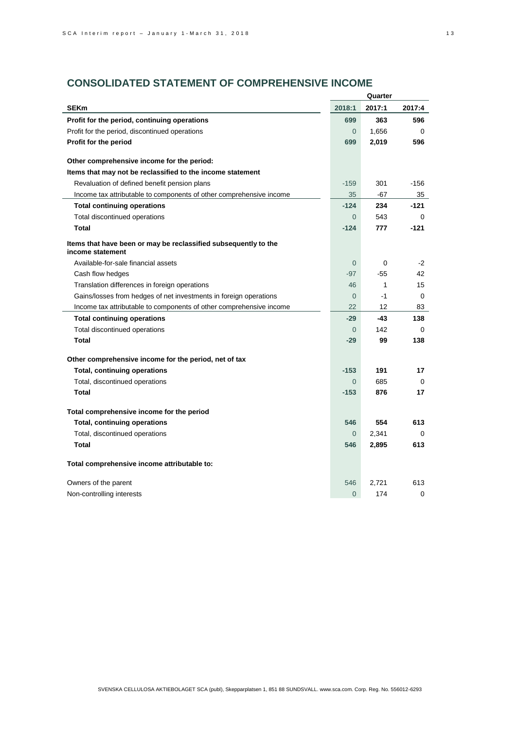# **CONSOLIDATED STATEMENT OF COMPREHENSIVE INCOME**

|                                                                                     |                | Quarter      |          |
|-------------------------------------------------------------------------------------|----------------|--------------|----------|
| <b>SEKm</b>                                                                         | 2018:1         | 2017:1       | 2017:4   |
| Profit for the period, continuing operations                                        | 699            | 363          | 596      |
| Profit for the period, discontinued operations                                      | $\Omega$       | 1,656        | $\Omega$ |
| Profit for the period                                                               | 699            | 2,019        | 596      |
| Other comprehensive income for the period:                                          |                |              |          |
| Items that may not be reclassified to the income statement                          |                |              |          |
| Revaluation of defined benefit pension plans                                        | $-159$         | 301          | $-156$   |
| Income tax attributable to components of other comprehensive income                 | 35             | -67          | 35       |
|                                                                                     | $-124$         | 234          | -121     |
| <b>Total continuing operations</b>                                                  | $\Omega$       | 543          | $\Omega$ |
| Total discontinued operations<br><b>Total</b>                                       | $-124$         | 777          | $-121$   |
|                                                                                     |                |              |          |
| Items that have been or may be reclassified subsequently to the<br>income statement |                |              |          |
| Available-for-sale financial assets                                                 | $\overline{0}$ | 0            | $-2$     |
| Cash flow hedges                                                                    | $-97$          | $-55$        | 42       |
| Translation differences in foreign operations                                       | 46             | $\mathbf{1}$ | 15       |
| Gains/losses from hedges of net investments in foreign operations                   | $\Omega$       | $-1$         | $\Omega$ |
| Income tax attributable to components of other comprehensive income                 | 22             | 12           | 83       |
| <b>Total continuing operations</b>                                                  | $-29$          | -43          | 138      |
| Total discontinued operations                                                       | $\Omega$       | 142          | $\Omega$ |
| Total                                                                               | $-29$          | 99           | 138      |
| Other comprehensive income for the period, net of tax                               |                |              |          |
| <b>Total, continuing operations</b>                                                 | $-153$         | 191          | 17       |
| Total, discontinued operations                                                      | $\Omega$       | 685          | 0        |
| <b>Total</b>                                                                        | $-153$         | 876          | 17       |
| Total comprehensive income for the period                                           |                |              |          |
| <b>Total, continuing operations</b>                                                 | 546            | 554          | 613      |
| Total, discontinued operations                                                      | $\overline{0}$ | 2,341        | $\Omega$ |
| Total                                                                               | 546            | 2,895        | 613      |
| Total comprehensive income attributable to:                                         |                |              |          |
| Owners of the parent                                                                | 546            | 2,721        | 613      |
| Non-controlling interests                                                           | $\Omega$       | 174          | 0        |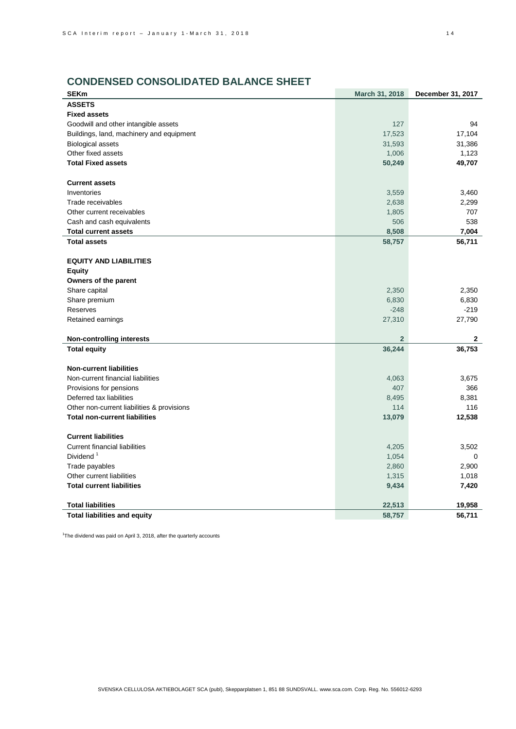## **CONDENSED CONSOLIDATED BALANCE SHEET**

| <b>SEKm</b>                                | March 31, 2018 | December 31, 2017 |
|--------------------------------------------|----------------|-------------------|
| <b>ASSETS</b>                              |                |                   |
| <b>Fixed assets</b>                        |                |                   |
| Goodwill and other intangible assets       | 127            | 94                |
| Buildings, land, machinery and equipment   | 17,523         | 17,104            |
| <b>Biological assets</b>                   | 31,593         | 31,386            |
| Other fixed assets                         | 1,006          | 1,123             |
| <b>Total Fixed assets</b>                  | 50,249         | 49,707            |
| <b>Current assets</b>                      |                |                   |
| Inventories                                | 3,559          | 3,460             |
| Trade receivables                          | 2,638          | 2,299             |
| Other current receivables                  | 1,805          | 707               |
| Cash and cash equivalents                  | 506            | 538               |
| <b>Total current assets</b>                | 8,508          | 7,004             |
| <b>Total assets</b>                        | 58,757         | 56,711            |
|                                            |                |                   |
| <b>EQUITY AND LIABILITIES</b>              |                |                   |
| <b>Equity</b>                              |                |                   |
| Owners of the parent                       |                |                   |
| Share capital                              | 2,350          | 2,350             |
| Share premium                              | 6,830          | 6,830             |
| Reserves                                   | $-248$         | $-219$            |
| Retained earnings                          | 27,310         | 27,790            |
|                                            |                |                   |
| <b>Non-controlling interests</b>           | $\overline{2}$ | $\mathbf{2}$      |
| <b>Total equity</b>                        | 36,244         | 36,753            |
|                                            |                |                   |
| <b>Non-current liabilities</b>             |                |                   |
| Non-current financial liabilities          | 4,063          | 3,675             |
| Provisions for pensions                    | 407            | 366               |
| Deferred tax liabilities                   | 8,495          | 8,381             |
| Other non-current liabilities & provisions | 114            | 116               |
| <b>Total non-current liabilities</b>       | 13,079         | 12,538            |
| <b>Current liabilities</b>                 |                |                   |
| <b>Current financial liabilities</b>       | 4,205          | 3,502             |
| Dividend <sup>1</sup>                      | 1,054          | 0                 |
| Trade payables                             | 2,860          | 2,900             |
| Other current liabilities                  | 1,315          | 1,018             |
| <b>Total current liabilities</b>           | 9,434          | 7,420             |
|                                            |                |                   |
| <b>Total liabilities</b>                   | 22,513         | 19,958            |
| <b>Total liabilities and equity</b>        | 58,757         | 56,711            |

<sup>1</sup>The dividend was paid on April 3, 2018, after the quarterly accounts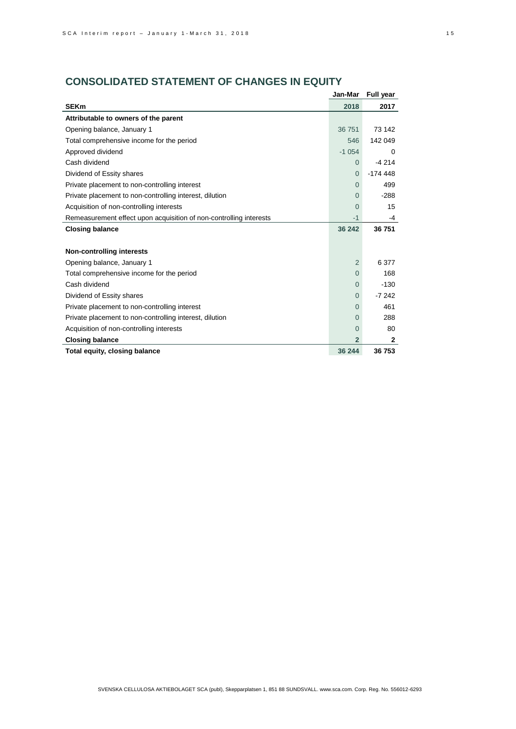# **CONSOLIDATED STATEMENT OF CHANGES IN EQUITY**

|                                                                    | Jan-Mar        | <b>Full year</b> |
|--------------------------------------------------------------------|----------------|------------------|
| <b>SEKm</b>                                                        | 2018           | 2017             |
| Attributable to owners of the parent                               |                |                  |
| Opening balance, January 1                                         | 36 751         | 73 142           |
| Total comprehensive income for the period                          | 546            | 142 049          |
| Approved dividend                                                  | $-1054$        | $\Omega$         |
| Cash dividend                                                      | 0              | $-4214$          |
| Dividend of Essity shares                                          | $\Omega$       | $-174448$        |
| Private placement to non-controlling interest                      | $\Omega$       | 499              |
| Private placement to non-controlling interest, dilution            | $\Omega$       | $-288$           |
| Acquisition of non-controlling interests                           | 0              | 15               |
| Remeasurement effect upon acquisition of non-controlling interests | $-1$           | -4               |
| <b>Closing balance</b>                                             | 36 242         | 36 751           |
|                                                                    |                |                  |
| <b>Non-controlling interests</b>                                   |                |                  |
| Opening balance, January 1                                         | $\overline{2}$ | 6 377            |
| Total comprehensive income for the period                          | $\Omega$       | 168              |
| Cash dividend                                                      | $\Omega$       | $-130$           |
| Dividend of Essity shares                                          | 0              | $-7242$          |
| Private placement to non-controlling interest                      | $\Omega$       | 461              |
| Private placement to non-controlling interest, dilution            | 0              | 288              |
| Acquisition of non-controlling interests                           | 0              | 80               |
| <b>Closing balance</b>                                             | $\overline{2}$ | $\mathbf{2}$     |
| Total equity, closing balance                                      | 36 244         | 36753            |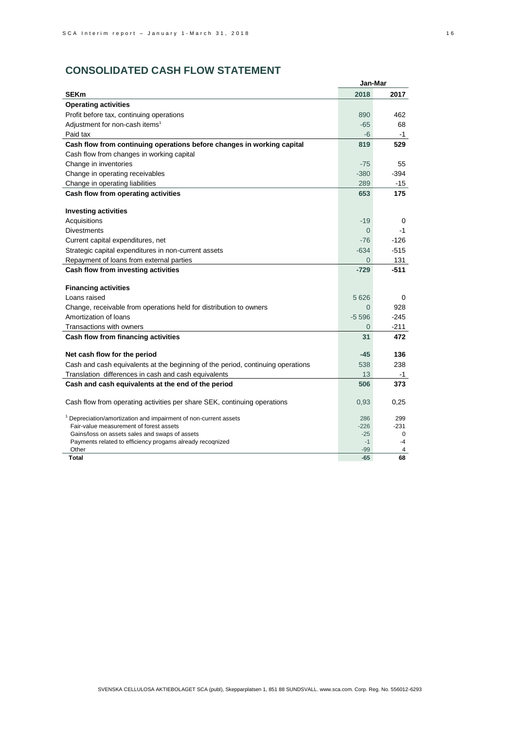|                                                                                 | Jan-Mar        |         |
|---------------------------------------------------------------------------------|----------------|---------|
| <b>SEKm</b>                                                                     | 2018           | 2017    |
| <b>Operating activities</b>                                                     |                |         |
| Profit before tax, continuing operations                                        | 890            | 462     |
| Adjustment for non-cash items <sup>1</sup>                                      | $-65$          | 68      |
| Paid tax                                                                        | $-6$           | $-1$    |
| Cash flow from continuing operations before changes in working capital          | 819            | 529     |
| Cash flow from changes in working capital                                       |                |         |
| Change in inventories                                                           | $-75$          | 55      |
| Change in operating receivables                                                 | $-380$         | $-394$  |
| Change in operating liabilities                                                 | 289            | -15     |
| Cash flow from operating activities                                             | 653            | 175     |
|                                                                                 |                |         |
| <b>Investing activities</b>                                                     |                |         |
| Acquisitions                                                                    | $-19$          | 0       |
| <b>Divestments</b>                                                              | $\Omega$       | $-1$    |
| Current capital expenditures, net                                               | $-76$          | $-126$  |
| Strategic capital expenditures in non-current assets                            | $-634$         | $-515$  |
| Repayment of loans from external parties                                        | $\overline{0}$ | 131     |
| Cash flow from investing activities                                             | $-729$         | -511    |
| <b>Financing activities</b>                                                     |                |         |
| Loans raised                                                                    | 5 6 2 6        | 0       |
| Change, receivable from operations held for distribution to owners              | $\Omega$       | 928     |
| Amortization of loans                                                           | $-5596$        | $-245$  |
| Transactions with owners                                                        | $\Omega$       | $-211$  |
|                                                                                 | 31             | 472     |
| Cash flow from financing activities                                             |                |         |
| Net cash flow for the period                                                    | $-45$          | 136     |
| Cash and cash equivalents at the beginning of the period, continuing operations | 538            | 238     |
| Translation differences in cash and cash equivalents                            | 13             | -1      |
| Cash and cash equivalents at the end of the period                              | 506            | 373     |
|                                                                                 |                |         |
| Cash flow from operating activities per share SEK, continuing operations        | 0,93           | 0,25    |
| Depreciation/amortization and impairment of non-current assets                  | 286            | 299     |
| Fair-value measurement of forest assets                                         | $-226$         | $-231$  |
| Gains/loss on assets sales and swaps of assets                                  | $-25$          | 0       |
| Payments related to efficiency progams already recognized                       | $-1$           | $-4$    |
| Other<br>Total                                                                  | $-99$<br>$-65$ | 4<br>68 |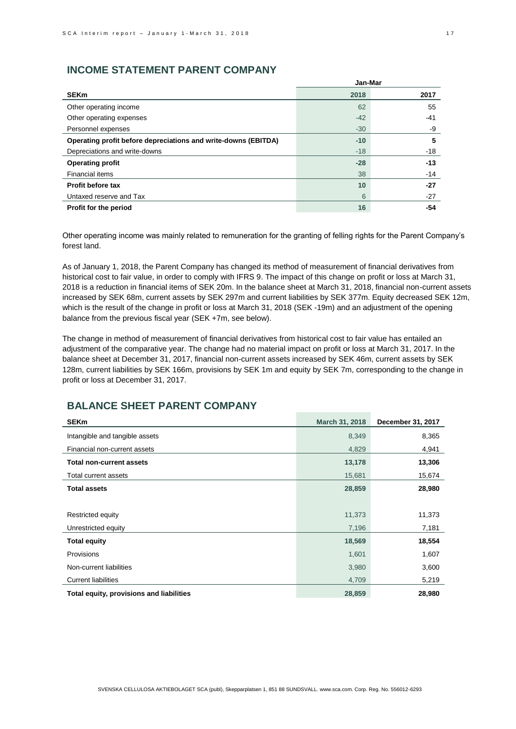## **INCOME STATEMENT PARENT COMPANY**

|                                                                | Jan-Mar |       |  |
|----------------------------------------------------------------|---------|-------|--|
| <b>SEKm</b>                                                    | 2018    | 2017  |  |
| Other operating income                                         | 62      | 55    |  |
| Other operating expenses                                       | $-42$   | -41   |  |
| Personnel expenses                                             | $-30$   | -9    |  |
| Operating profit before depreciations and write-downs (EBITDA) | $-10$   | 5     |  |
| Depreciations and write-downs                                  | $-18$   | $-18$ |  |
| <b>Operating profit</b>                                        | $-28$   | $-13$ |  |
| Financial items                                                | 38      | $-14$ |  |
| <b>Profit before tax</b>                                       | 10      | $-27$ |  |
| Untaxed reserve and Tax                                        | 6       | -27   |  |
| Profit for the period                                          | 16      | -54   |  |

Other operating income was mainly related to remuneration for the granting of felling rights for the Parent Company's forest land.

As of January 1, 2018, the Parent Company has changed its method of measurement of financial derivatives from historical cost to fair value, in order to comply with IFRS 9. The impact of this change on profit or loss at March 31, 2018 is a reduction in financial items of SEK 20m. In the balance sheet at March 31, 2018, financial non-current assets increased by SEK 68m, current assets by SEK 297m and current liabilities by SEK 377m. Equity decreased SEK 12m, which is the result of the change in profit or loss at March 31, 2018 (SEK -19m) and an adjustment of the opening balance from the previous fiscal year (SEK +7m, see below).

The change in method of measurement of financial derivatives from historical cost to fair value has entailed an adjustment of the comparative year. The change had no material impact on profit or loss at March 31, 2017. In the balance sheet at December 31, 2017, financial non-current assets increased by SEK 46m, current assets by SEK 128m, current liabilities by SEK 166m, provisions by SEK 1m and equity by SEK 7m, corresponding to the change in profit or loss at December 31, 2017.

## **BALANCE SHEET PARENT COMPANY**

| <b>SEKm</b>                              | March 31, 2018 | December 31, 2017 |
|------------------------------------------|----------------|-------------------|
| Intangible and tangible assets           | 8,349          | 8,365             |
| Financial non-current assets             | 4,829          | 4,941             |
| <b>Total non-current assets</b>          | 13,178         | 13,306            |
| Total current assets                     | 15,681         | 15,674            |
| <b>Total assets</b>                      | 28,859         | 28,980            |
|                                          |                |                   |
| Restricted equity                        | 11,373         | 11,373            |
| Unrestricted equity                      | 7,196          | 7,181             |
| <b>Total equity</b>                      | 18,569         | 18,554            |
| <b>Provisions</b>                        | 1,601          | 1,607             |
| Non-current liabilities                  | 3,980          | 3,600             |
| <b>Current liabilities</b>               | 4,709          | 5,219             |
| Total equity, provisions and liabilities | 28,859         | 28,980            |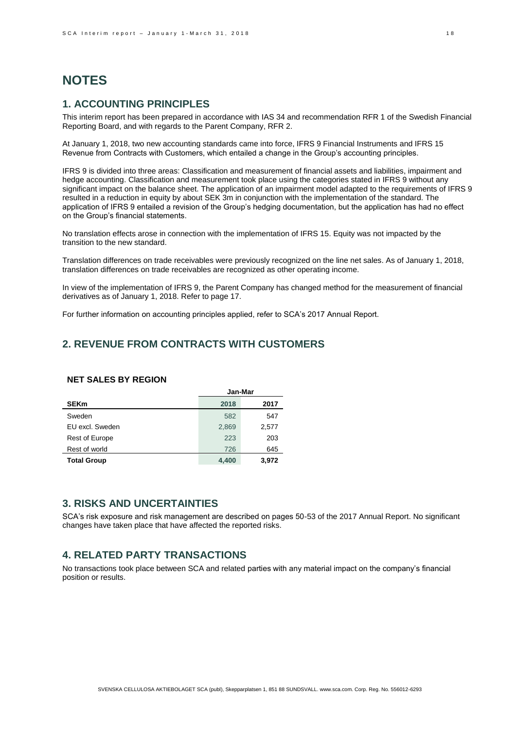# **NOTES**

## **1. ACCOUNTING PRINCIPLES**

This interim report has been prepared in accordance with IAS 34 and recommendation RFR 1 of the Swedish Financial Reporting Board, and with regards to the Parent Company, RFR 2.

At January 1, 2018, two new accounting standards came into force, IFRS 9 Financial Instruments and IFRS 15 Revenue from Contracts with Customers, which entailed a change in the Group's accounting principles.

IFRS 9 is divided into three areas: Classification and measurement of financial assets and liabilities, impairment and hedge accounting. Classification and measurement took place using the categories stated in IFRS 9 without any significant impact on the balance sheet. The application of an impairment model adapted to the requirements of IFRS 9 resulted in a reduction in equity by about SEK 3m in conjunction with the implementation of the standard. The application of IFRS 9 entailed a revision of the Group's hedging documentation, but the application has had no effect on the Group's financial statements.

No translation effects arose in connection with the implementation of IFRS 15. Equity was not impacted by the transition to the new standard.

Translation differences on trade receivables were previously recognized on the line net sales. As of January 1, 2018, translation differences on trade receivables are recognized as other operating income.

In view of the implementation of IFRS 9, the Parent Company has changed method for the measurement of financial derivatives as of January 1, 2018. Refer to page 17.

For further information on accounting principles applied, refer to SCA's 2017 Annual Report.

## **2. REVENUE FROM CONTRACTS WITH CUSTOMERS**

### **NET SALES BY REGION**

|                       | Jan-Mar |       |  |
|-----------------------|---------|-------|--|
| <b>SEKm</b>           | 2018    | 2017  |  |
| Sweden                | 582     | 547   |  |
| EU excl. Sweden       | 2,869   | 2,577 |  |
| <b>Rest of Europe</b> | 223     | 203   |  |
| Rest of world         | 726     | 645   |  |
| <b>Total Group</b>    | 4,400   | 3,972 |  |

### **3. RISKS AND UNCERTAINTIES**

SCA's risk exposure and risk management are described on pages 50-53 of the 2017 Annual Report. No significant changes have taken place that have affected the reported risks.

## **4. RELATED PARTY TRANSACTIONS**

No transactions took place between SCA and related parties with any material impact on the company's financial position or results.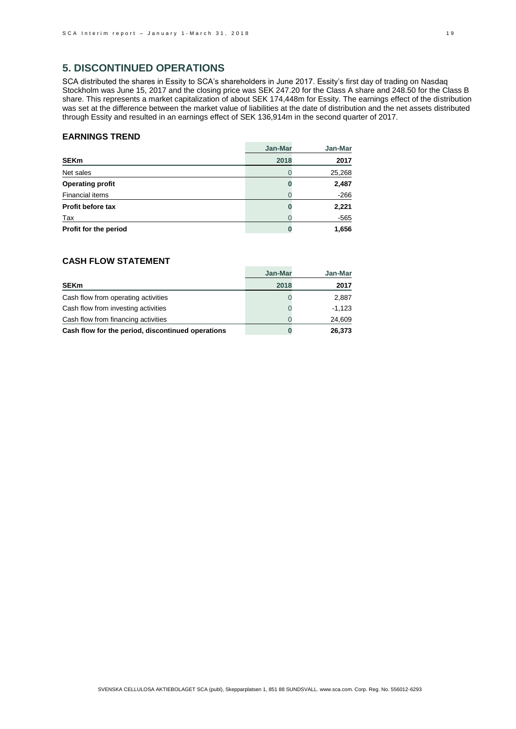## **5. DISCONTINUED OPERATIONS**

SCA distributed the shares in Essity to SCA's shareholders in June 2017. Essity's first day of trading on Nasdaq Stockholm was June 15, 2017 and the closing price was SEK 247.20 for the Class A share and 248.50 for the Class B share. This represents a market capitalization of about SEK 174,448m for Essity. The earnings effect of the distribution was set at the difference between the market value of liabilities at the date of distribution and the net assets distributed through Essity and resulted in an earnings effect of SEK 136,914m in the second quarter of 2017.

#### **EARNINGS TREND**

|                         | Jan-Mar | Jan-Mar |
|-------------------------|---------|---------|
| <b>SEKm</b>             | 2018    | 2017    |
| Net sales               |         | 25,268  |
| <b>Operating profit</b> |         | 2,487   |
| Financial items         |         | $-266$  |
| Profit before tax       |         | 2,221   |
| Tax                     |         | -565    |
| Profit for the period   |         | 1,656   |

## **CASH FLOW STATEMENT**

|                                                   | Jan-Mar | Jan-Mar  |
|---------------------------------------------------|---------|----------|
| <b>SEKm</b>                                       | 2018    | 2017     |
| Cash flow from operating activities               |         | 2.887    |
| Cash flow from investing activities               |         | $-1.123$ |
| Cash flow from financing activities               |         | 24,609   |
| Cash flow for the period, discontinued operations | U       | 26,373   |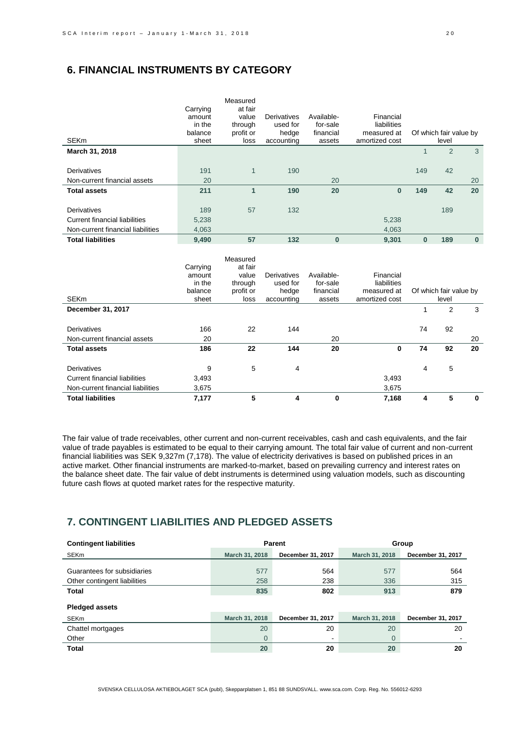## **6. FINANCIAL INSTRUMENTS BY CATEGORY**

| <b>SEKm</b>                                 | Carrying<br>amount<br>in the<br>balance<br>sheet | Measured<br>at fair<br>value<br>through<br>profit or<br>loss | Derivatives<br>used for<br>hedge<br>accounting        | Available-<br>for-sale<br>financial<br>assets | Financial<br>liabilities<br>measured at<br>amortized cost |              | Of which fair value by<br>level |             |
|---------------------------------------------|--------------------------------------------------|--------------------------------------------------------------|-------------------------------------------------------|-----------------------------------------------|-----------------------------------------------------------|--------------|---------------------------------|-------------|
| March 31, 2018                              |                                                  |                                                              |                                                       |                                               |                                                           | $\mathbf{1}$ | $\overline{2}$                  | 3           |
|                                             |                                                  |                                                              |                                                       |                                               |                                                           |              |                                 |             |
| <b>Derivatives</b>                          | 191                                              | $\mathbf{1}$                                                 | 190                                                   |                                               |                                                           | 149          | 42                              |             |
| Non-current financial assets                | 20                                               |                                                              |                                                       | 20                                            |                                                           |              |                                 | 20          |
| <b>Total assets</b>                         | 211                                              | $\mathbf{1}$                                                 | 190                                                   | 20                                            | $\bf{0}$                                                  | 149          | 42                              | 20          |
|                                             |                                                  |                                                              |                                                       |                                               |                                                           |              |                                 |             |
| Derivatives                                 | 189                                              | 57                                                           | 132                                                   |                                               |                                                           |              | 189                             |             |
| <b>Current financial liabilities</b>        | 5,238                                            |                                                              |                                                       |                                               | 5,238                                                     |              |                                 |             |
| Non-current financial liabilities           | 4,063                                            |                                                              |                                                       |                                               | 4,063                                                     |              |                                 |             |
| <b>Total liabilities</b>                    | 9,490                                            | 57                                                           | 132                                                   | $\bf{0}$                                      | 9,301                                                     | $\mathbf{0}$ | 189                             | $\bf{0}$    |
| <b>SEKm</b>                                 | Carrying<br>amount<br>in the<br>balance<br>sheet | Measured<br>at fair<br>value<br>through<br>profit or<br>loss | <b>Derivatives</b><br>used for<br>hedge<br>accounting | Available-<br>for-sale<br>financial<br>assets | Financial<br>liabilities<br>measured at<br>amortized cost |              | Of which fair value by<br>level |             |
| December 31, 2017                           |                                                  |                                                              |                                                       |                                               |                                                           | $\mathbf{1}$ | 2                               | 3           |
| Derivatives<br>Non-current financial assets | 166<br>20                                        | 22                                                           | 144                                                   | 20                                            |                                                           | 74           | 92                              | 20          |
| <b>Total assets</b>                         | 186                                              | 22                                                           | 144                                                   | 20                                            | 0                                                         | 74           | 92                              | 20          |
|                                             |                                                  |                                                              |                                                       |                                               |                                                           |              |                                 |             |
| <b>Derivatives</b>                          | 9                                                | 5                                                            | 4                                                     |                                               |                                                           | 4            | 5                               |             |
| <b>Current financial liabilities</b>        | 3,493                                            |                                                              |                                                       |                                               | 3,493                                                     |              |                                 |             |
| Non-current financial liabilities           | 3,675                                            |                                                              |                                                       |                                               | 3,675                                                     |              |                                 |             |
| <b>Total liabilities</b>                    | 7,177                                            | 5                                                            | 4                                                     | 0                                             | 7,168                                                     | 4            | 5                               | $\mathbf 0$ |

The fair value of trade receivables, other current and non-current receivables, cash and cash equivalents, and the fair value of trade payables is estimated to be equal to their carrying amount. The total fair value of current and non-current financial liabilities was SEK 9,327m (7,178). The value of electricity derivatives is based on published prices in an active market. Other financial instruments are marked-to-market, based on prevailing currency and interest rates on the balance sheet date. The fair value of debt instruments is determined using valuation models, such as discounting future cash flows at quoted market rates for the respective maturity.

# **7. CONTINGENT LIABILITIES AND PLEDGED ASSETS**

| <b>Contingent liabilities</b> |                | Parent            | Group          |                   |
|-------------------------------|----------------|-------------------|----------------|-------------------|
| <b>SEKm</b>                   | March 31, 2018 | December 31, 2017 | March 31, 2018 | December 31, 2017 |
|                               |                |                   |                |                   |
| Guarantees for subsidiaries   | 577            | 564               | 577            | 564               |
| Other contingent liabilities  | 258            | 238               | 336            | 315               |
| <b>Total</b>                  | 835            | 802               | 913            | 879               |
| <b>Pledged assets</b>         |                |                   |                |                   |
| SEKm                          | March 31, 2018 | December 31, 2017 | March 31, 2018 | December 31, 2017 |
| Chattel mortgages             | 20             | 20                | 20             | 20                |
| Other                         | $\Omega$       | $\blacksquare$    | $\Omega$       |                   |
| <b>Total</b>                  | 20             | 20                | 20             | 20                |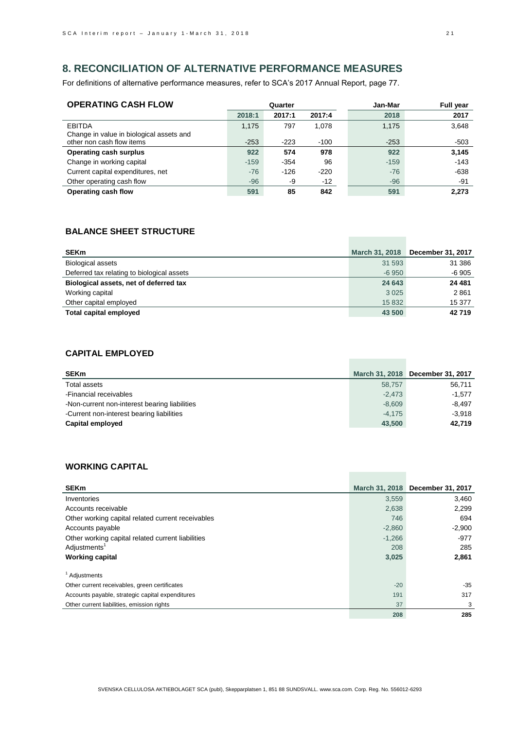## **8. RECONCILIATION OF ALTERNATIVE PERFORMANCE MEASURES**

For definitions of alternative performance measures, refer to SCA's 2017 Annual Report, page 77.

| <b>OPERATING CASH FLOW</b>                                | Quarter |        |        | Jan-Mar | <b>Full year</b> |
|-----------------------------------------------------------|---------|--------|--------|---------|------------------|
|                                                           | 2018:1  | 2017:1 | 2017:4 | 2018    | 2017             |
| <b>EBITDA</b><br>Change in value in biological assets and | 1,175   | 797    | 1.078  | 1,175   | 3,648            |
| other non cash flow items                                 | $-253$  | $-223$ | $-100$ | $-253$  | $-503$           |
| <b>Operating cash surplus</b>                             | 922     | 574    | 978    | 922     | 3,145            |
| Change in working capital                                 | $-159$  | $-354$ | 96     | $-159$  | $-143$           |
| Current capital expenditures, net                         | $-76$   | $-126$ | $-220$ | $-76$   | $-638$           |
| Other operating cash flow                                 | $-96$   | -9     | $-12$  | $-96$   | $-91$            |
| Operating cash flow                                       | 591     | 85     | 842    | 591     | 2,273            |

## **BALANCE SHEET STRUCTURE**

| <b>SEKm</b>                                | March 31, 2018 | December 31, 2017 |
|--------------------------------------------|----------------|-------------------|
| <b>Biological assets</b>                   | 31 593         | 31 386            |
| Deferred tax relating to biological assets | $-6950$        | $-6905$           |
| Biological assets, net of deferred tax     | 24 643         | 24 481            |
| Working capital                            | 3 0 2 5        | 2861              |
| Other capital employed                     | 15 832         | 15 377            |
| <b>Total capital employed</b>              | 43 500         | 42719             |

### **CAPITAL EMPLOYED**

| <b>SEKm</b>                                   |          | March 31, 2018 December 31, 2017 |
|-----------------------------------------------|----------|----------------------------------|
| Total assets                                  | 58.757   | 56.711                           |
| -Financial receivables                        | $-2.473$ | $-1.577$                         |
| -Non-current non-interest bearing liabilities | $-8,609$ | $-8.497$                         |
| -Current non-interest bearing liabilities     | $-4.175$ | $-3.918$                         |
| Capital employed                              | 43,500   | 42,719                           |

**Contract Contract** 

**Contract Contract** 

## **WORKING CAPITAL**

| <b>SEKm</b>                                       |          | March 31, 2018 December 31, 2017 |
|---------------------------------------------------|----------|----------------------------------|
| Inventories                                       | 3,559    | 3,460                            |
| Accounts receivable                               | 2,638    | 2,299                            |
| Other working capital related current receivables | 746      | 694                              |
| Accounts payable                                  | $-2,860$ | $-2,900$                         |
| Other working capital related current liabilities | $-1,266$ | $-977$                           |
| Adjustments <sup>1</sup>                          | 208      | 285                              |
| <b>Working capital</b>                            | 3,025    | 2,861                            |
| <sup>1</sup> Adjustments                          |          |                                  |
| Other current receivables, green certificates     | $-20$    | -35                              |
| Accounts payable, strategic capital expenditures  | 191      | 317                              |
| Other current liabilities, emission rights        | 37       | 3                                |
|                                                   | 208      | 285                              |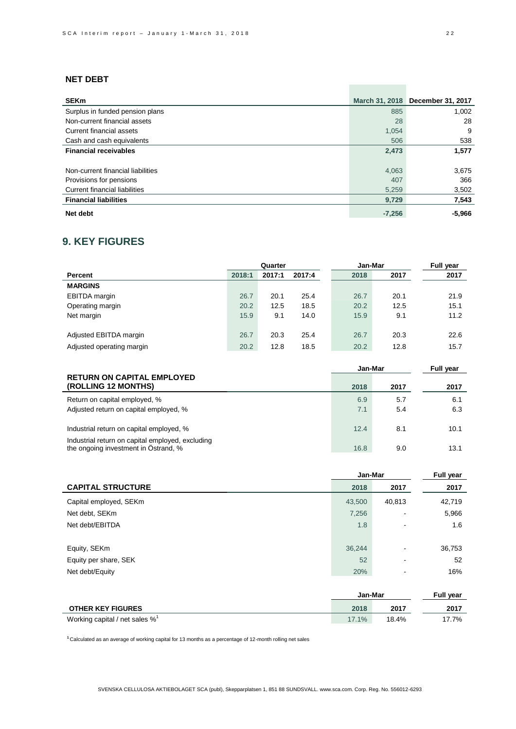## **NET DEBT**

| <b>SEKm</b>                       |          | March 31, 2018 December 31, 2017 |
|-----------------------------------|----------|----------------------------------|
| Surplus in funded pension plans   | 885      | 1.002                            |
| Non-current financial assets      | 28       | 28                               |
| Current financial assets          | 1,054    | 9                                |
| Cash and cash equivalents         | 506      | 538                              |
| <b>Financial receivables</b>      | 2,473    | 1,577                            |
|                                   |          |                                  |
| Non-current financial liabilities | 4,063    | 3,675                            |
| Provisions for pensions           | 407      | 366                              |
| Current financial liabilities     | 5,259    | 3,502                            |
| <b>Financial liabilities</b>      | 9,729    | 7,543                            |
| Net debt                          | $-7,256$ | $-5,966$                         |

## **9. KEY FIGURES**

|                           | Quarter |        |        | Jan-Mar | Full year |      |
|---------------------------|---------|--------|--------|---------|-----------|------|
| Percent                   | 2018:1  | 2017:1 | 2017:4 | 2018    | 2017      | 2017 |
| <b>MARGINS</b>            |         |        |        |         |           |      |
| <b>EBITDA</b> margin      | 26.7    | 20.1   | 25.4   | 26.7    | 20.1      | 21.9 |
| Operating margin          | 20.2    | 12.5   | 18.5   | 20.2    | 12.5      | 15.1 |
| Net margin                | 15.9    | 9.1    | 14.0   | 15.9    | 9.1       | 11.2 |
|                           |         |        |        |         |           |      |
| Adjusted EBITDA margin    | 26.7    | 20.3   | 25.4   | 26.7    | 20.3      | 22.6 |
| Adjusted operating margin | 20.2    | 12.8   | 18.5   | 20.2    | 12.8      | 15.7 |

|                                                                                          | Jan-Mar    |            | Full year  |
|------------------------------------------------------------------------------------------|------------|------------|------------|
| <b>RETURN ON CAPITAL EMPLOYED</b><br>(ROLLING 12 MONTHS)                                 | 2018       | 2017       | 2017       |
| Return on capital employed, %<br>Adjusted return on capital employed, %                  | 6.9<br>7.1 | 5.7<br>5.4 | 6.1<br>6.3 |
| Industrial return on capital employed, %                                                 | 12.4       | 8.1        | 10.1       |
| Industrial return on capital employed, excluding<br>the ongoing investment in Ostrand, % | 16.8       | 9.0        | 13.1       |

|                          | Jan-Mar | <b>Full year</b>         |        |
|--------------------------|---------|--------------------------|--------|
| <b>CAPITAL STRUCTURE</b> | 2018    | 2017                     | 2017   |
| Capital employed, SEKm   | 43,500  | 40,813                   | 42,719 |
| Net debt, SEKm           | 7,256   |                          | 5,966  |
| Net debt/EBITDA          | 1.8     | $\blacksquare$           | 1.6    |
|                          |         |                          |        |
| Equity, SEKm             | 36,244  | $\blacksquare$           | 36,753 |
| Equity per share, SEK    | 52      | $\overline{\phantom{0}}$ | 52     |
| Net debt/Equity          | 20%     | $\overline{\phantom{0}}$ | 16%    |
|                          |         |                          |        |

|                                               | Jan-Mar |       | <b>Full year</b> |
|-----------------------------------------------|---------|-------|------------------|
| <b>OTHER KEY FIGURES</b>                      | 2018    | 2017  | 2017             |
| Working capital / net sales $\%$ <sup>1</sup> | 17.1%   | 18.4% | 17.7%            |

**<sup>1</sup>**Calculated as an average of working capital for 13 months as a percentage of 12-month rolling net sales

**Contract Contract**